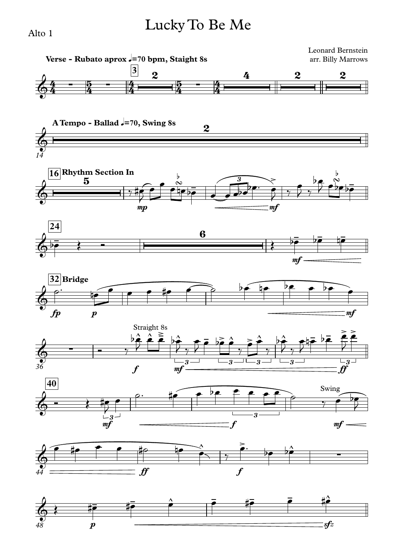## Lucky To Be Me



Alto 1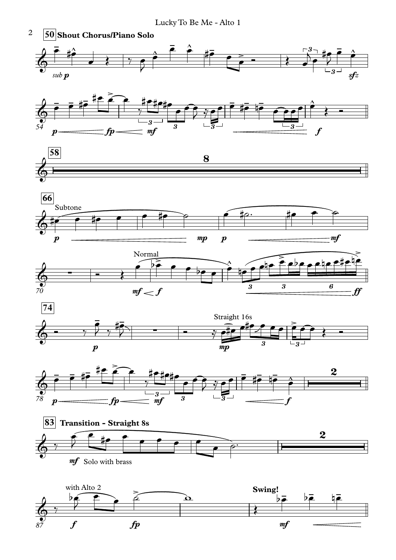